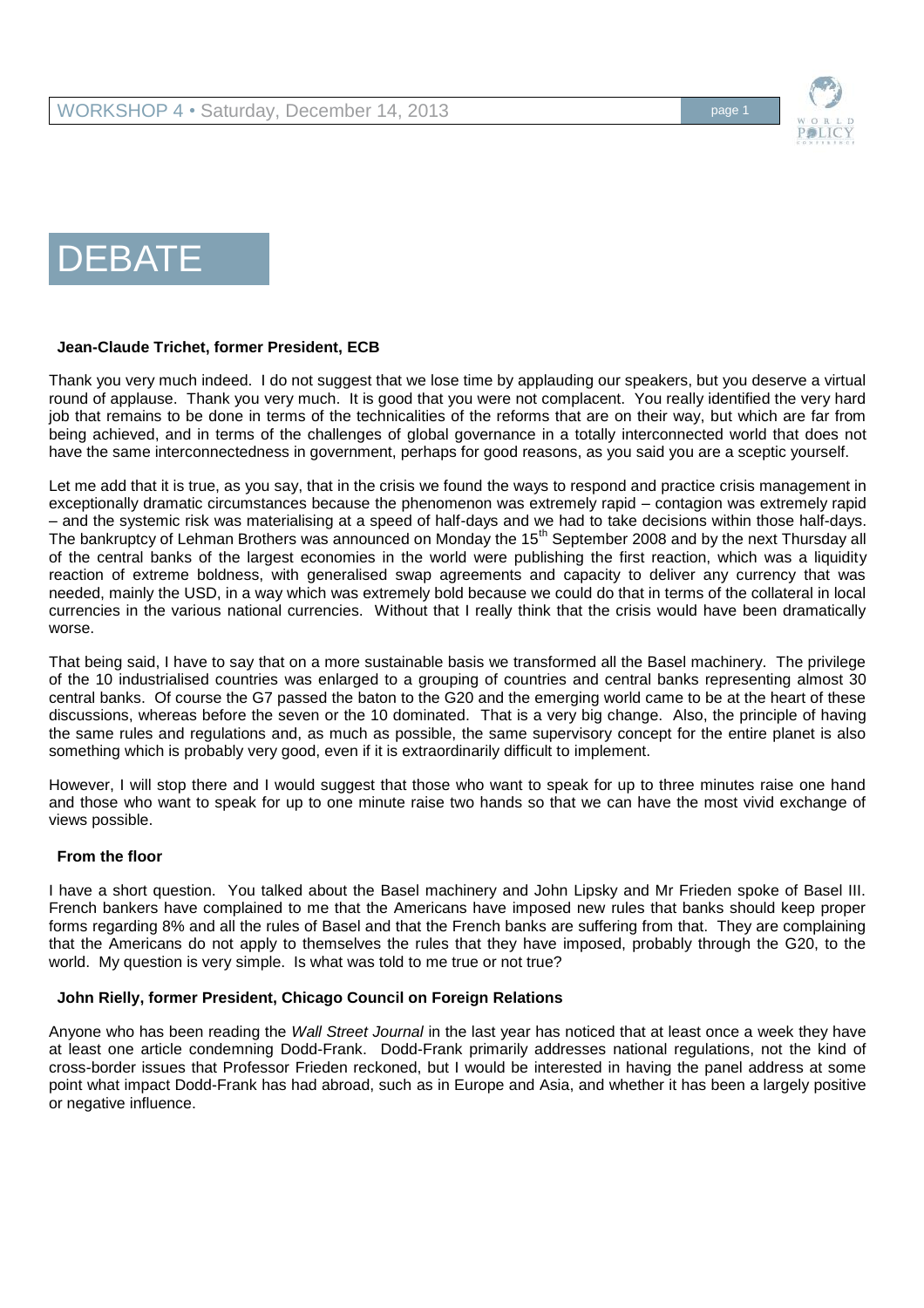

# DEBATE

# **Jean-Claude Trichet, former President, ECB**

Thank you very much indeed. I do not suggest that we lose time by applauding our speakers, but you deserve a virtual round of applause. Thank you very much. It is good that you were not complacent. You really identified the very hard job that remains to be done in terms of the technicalities of the reforms that are on their way, but which are far from being achieved, and in terms of the challenges of global governance in a totally interconnected world that does not have the same interconnectedness in government, perhaps for good reasons, as you said you are a sceptic yourself.

Let me add that it is true, as you say, that in the crisis we found the ways to respond and practice crisis management in exceptionally dramatic circumstances because the phenomenon was extremely rapid – contagion was extremely rapid – and the systemic risk was materialising at a speed of half-days and we had to take decisions within those half-days. The bankruptcy of Lehman Brothers was announced on Monday the 15<sup>th</sup> September 2008 and by the next Thursday all of the central banks of the largest economies in the world were publishing the first reaction, which was a liquidity reaction of extreme boldness, with generalised swap agreements and capacity to deliver any currency that was needed, mainly the USD, in a way which was extremely bold because we could do that in terms of the collateral in local currencies in the various national currencies. Without that I really think that the crisis would have been dramatically worse.

That being said, I have to say that on a more sustainable basis we transformed all the Basel machinery. The privilege of the 10 industrialised countries was enlarged to a grouping of countries and central banks representing almost 30 central banks. Of course the G7 passed the baton to the G20 and the emerging world came to be at the heart of these discussions, whereas before the seven or the 10 dominated. That is a very big change. Also, the principle of having the same rules and regulations and, as much as possible, the same supervisory concept for the entire planet is also something which is probably very good, even if it is extraordinarily difficult to implement.

However, I will stop there and I would suggest that those who want to speak for up to three minutes raise one hand and those who want to speak for up to one minute raise two hands so that we can have the most vivid exchange of views possible.

# **From the floor**

I have a short question. You talked about the Basel machinery and John Lipsky and Mr Frieden spoke of Basel III. French bankers have complained to me that the Americans have imposed new rules that banks should keep proper forms regarding 8% and all the rules of Basel and that the French banks are suffering from that. They are complaining that the Americans do not apply to themselves the rules that they have imposed, probably through the G20, to the world. My question is very simple. Is what was told to me true or not true?

# **John Rielly, former President, Chicago Council on Foreign Relations**

Anyone who has been reading the *Wall Street Journal* in the last year has noticed that at least once a week they have at least one article condemning Dodd-Frank. Dodd-Frank primarily addresses national regulations, not the kind of cross-border issues that Professor Frieden reckoned, but I would be interested in having the panel address at some point what impact Dodd-Frank has had abroad, such as in Europe and Asia, and whether it has been a largely positive or negative influence.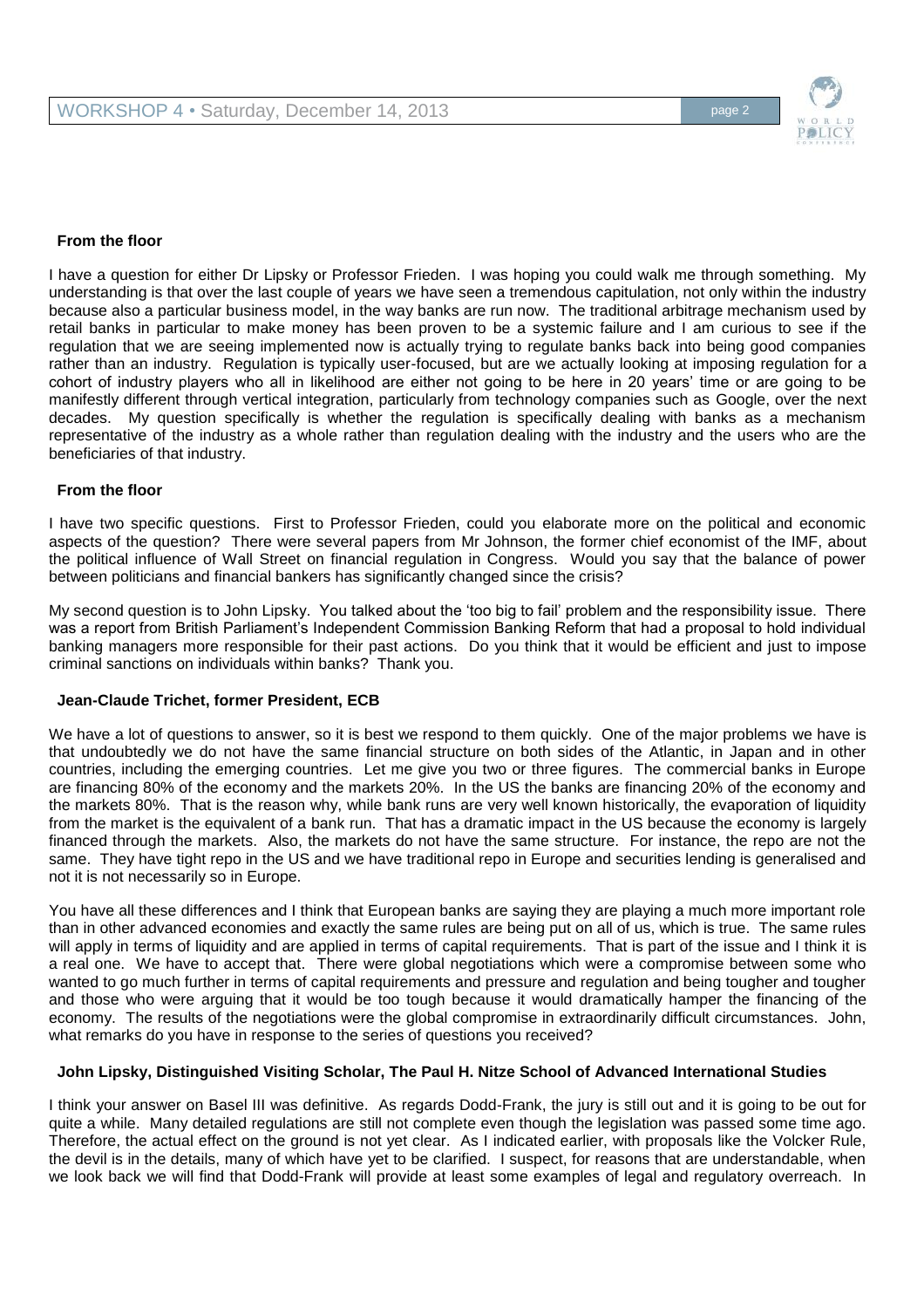

## **From the floor**

I have a question for either Dr Lipsky or Professor Frieden. I was hoping you could walk me through something. My understanding is that over the last couple of years we have seen a tremendous capitulation, not only within the industry because also a particular business model, in the way banks are run now. The traditional arbitrage mechanism used by retail banks in particular to make money has been proven to be a systemic failure and I am curious to see if the regulation that we are seeing implemented now is actually trying to regulate banks back into being good companies rather than an industry. Regulation is typically user-focused, but are we actually looking at imposing regulation for a cohort of industry players who all in likelihood are either not going to be here in 20 years' time or are going to be manifestly different through vertical integration, particularly from technology companies such as Google, over the next decades. My question specifically is whether the regulation is specifically dealing with banks as a mechanism representative of the industry as a whole rather than regulation dealing with the industry and the users who are the beneficiaries of that industry.

### **From the floor**

I have two specific questions. First to Professor Frieden, could you elaborate more on the political and economic aspects of the question? There were several papers from Mr Johnson, the former chief economist of the IMF, about the political influence of Wall Street on financial regulation in Congress. Would you say that the balance of power between politicians and financial bankers has significantly changed since the crisis?

My second question is to John Lipsky. You talked about the 'too big to fail' problem and the responsibility issue. There was a report from British Parliament's Independent Commission Banking Reform that had a proposal to hold individual banking managers more responsible for their past actions. Do you think that it would be efficient and just to impose criminal sanctions on individuals within banks? Thank you.

# **Jean-Claude Trichet, former President, ECB**

We have a lot of questions to answer, so it is best we respond to them quickly. One of the major problems we have is that undoubtedly we do not have the same financial structure on both sides of the Atlantic, in Japan and in other countries, including the emerging countries. Let me give you two or three figures. The commercial banks in Europe are financing 80% of the economy and the markets 20%. In the US the banks are financing 20% of the economy and the markets 80%. That is the reason why, while bank runs are very well known historically, the evaporation of liquidity from the market is the equivalent of a bank run. That has a dramatic impact in the US because the economy is largely financed through the markets. Also, the markets do not have the same structure. For instance, the repo are not the same. They have tight repo in the US and we have traditional repo in Europe and securities lending is generalised and not it is not necessarily so in Europe.

You have all these differences and I think that European banks are saying they are playing a much more important role than in other advanced economies and exactly the same rules are being put on all of us, which is true. The same rules will apply in terms of liquidity and are applied in terms of capital requirements. That is part of the issue and I think it is a real one. We have to accept that. There were global negotiations which were a compromise between some who wanted to go much further in terms of capital requirements and pressure and regulation and being tougher and tougher and those who were arguing that it would be too tough because it would dramatically hamper the financing of the economy. The results of the negotiations were the global compromise in extraordinarily difficult circumstances. John, what remarks do you have in response to the series of questions you received?

# **John Lipsky, Distinguished Visiting Scholar, The Paul H. Nitze School of Advanced International Studies**

I think your answer on Basel III was definitive. As regards Dodd-Frank, the jury is still out and it is going to be out for quite a while. Many detailed regulations are still not complete even though the legislation was passed some time ago. Therefore, the actual effect on the ground is not yet clear. As I indicated earlier, with proposals like the Volcker Rule, the devil is in the details, many of which have yet to be clarified. I suspect, for reasons that are understandable, when we look back we will find that Dodd-Frank will provide at least some examples of legal and regulatory overreach. In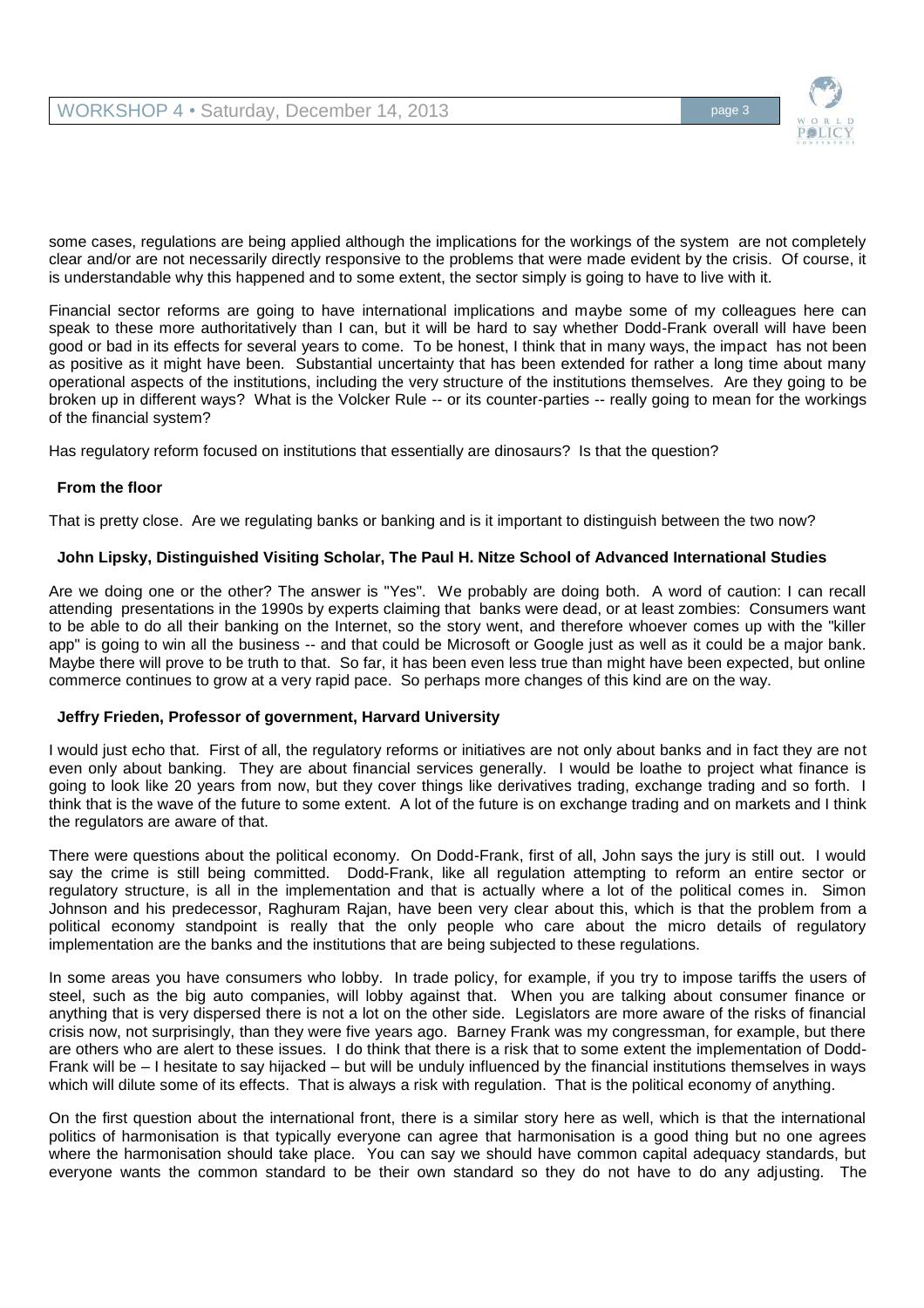

some cases, regulations are being applied although the implications for the workings of the system are not completely clear and/or are not necessarily directly responsive to the problems that were made evident by the crisis. Of course, it is understandable why this happened and to some extent, the sector simply is going to have to live with it.

Financial sector reforms are going to have international implications and maybe some of my colleagues here can speak to these more authoritatively than I can, but it will be hard to say whether Dodd-Frank overall will have been good or bad in its effects for several years to come. To be honest, I think that in many ways, the impact has not been as positive as it might have been. Substantial uncertainty that has been extended for rather a long time about many operational aspects of the institutions, including the very structure of the institutions themselves. Are they going to be broken up in different ways? What is the Volcker Rule -- or its counter-parties -- really going to mean for the workings of the financial system?

Has regulatory reform focused on institutions that essentially are dinosaurs? Is that the question?

# **From the floor**

That is pretty close. Are we regulating banks or banking and is it important to distinguish between the two now?

# **John Lipsky, Distinguished Visiting Scholar, The Paul H. Nitze School of Advanced International Studies**

Are we doing one or the other? The answer is "Yes". We probably are doing both. A word of caution: I can recall attending presentations in the 1990s by experts claiming that banks were dead, or at least zombies: Consumers want to be able to do all their banking on the Internet, so the story went, and therefore whoever comes up with the "killer app" is going to win all the business -- and that could be Microsoft or Google just as well as it could be a major bank. Maybe there will prove to be truth to that. So far, it has been even less true than might have been expected, but online commerce continues to grow at a very rapid pace. So perhaps more changes of this kind are on the way.

# **Jeffry Frieden, Professor of government, Harvard University**

I would just echo that. First of all, the regulatory reforms or initiatives are not only about banks and in fact they are not even only about banking. They are about financial services generally. I would be loathe to project what finance is going to look like 20 years from now, but they cover things like derivatives trading, exchange trading and so forth. I think that is the wave of the future to some extent. A lot of the future is on exchange trading and on markets and I think the regulators are aware of that.

There were questions about the political economy. On Dodd-Frank, first of all, John says the jury is still out. I would say the crime is still being committed. Dodd-Frank, like all regulation attempting to reform an entire sector or regulatory structure, is all in the implementation and that is actually where a lot of the political comes in. Simon Johnson and his predecessor, Raghuram Rajan, have been very clear about this, which is that the problem from a political economy standpoint is really that the only people who care about the micro details of regulatory implementation are the banks and the institutions that are being subjected to these regulations.

In some areas you have consumers who lobby. In trade policy, for example, if you try to impose tariffs the users of steel, such as the big auto companies, will lobby against that. When you are talking about consumer finance or anything that is very dispersed there is not a lot on the other side. Legislators are more aware of the risks of financial crisis now, not surprisingly, than they were five years ago. Barney Frank was my congressman, for example, but there are others who are alert to these issues. I do think that there is a risk that to some extent the implementation of Dodd-Frank will be – I hesitate to say hijacked – but will be unduly influenced by the financial institutions themselves in ways which will dilute some of its effects. That is always a risk with regulation. That is the political economy of anything.

On the first question about the international front, there is a similar story here as well, which is that the international politics of harmonisation is that typically everyone can agree that harmonisation is a good thing but no one agrees where the harmonisation should take place. You can say we should have common capital adequacy standards, but everyone wants the common standard to be their own standard so they do not have to do any adjusting. The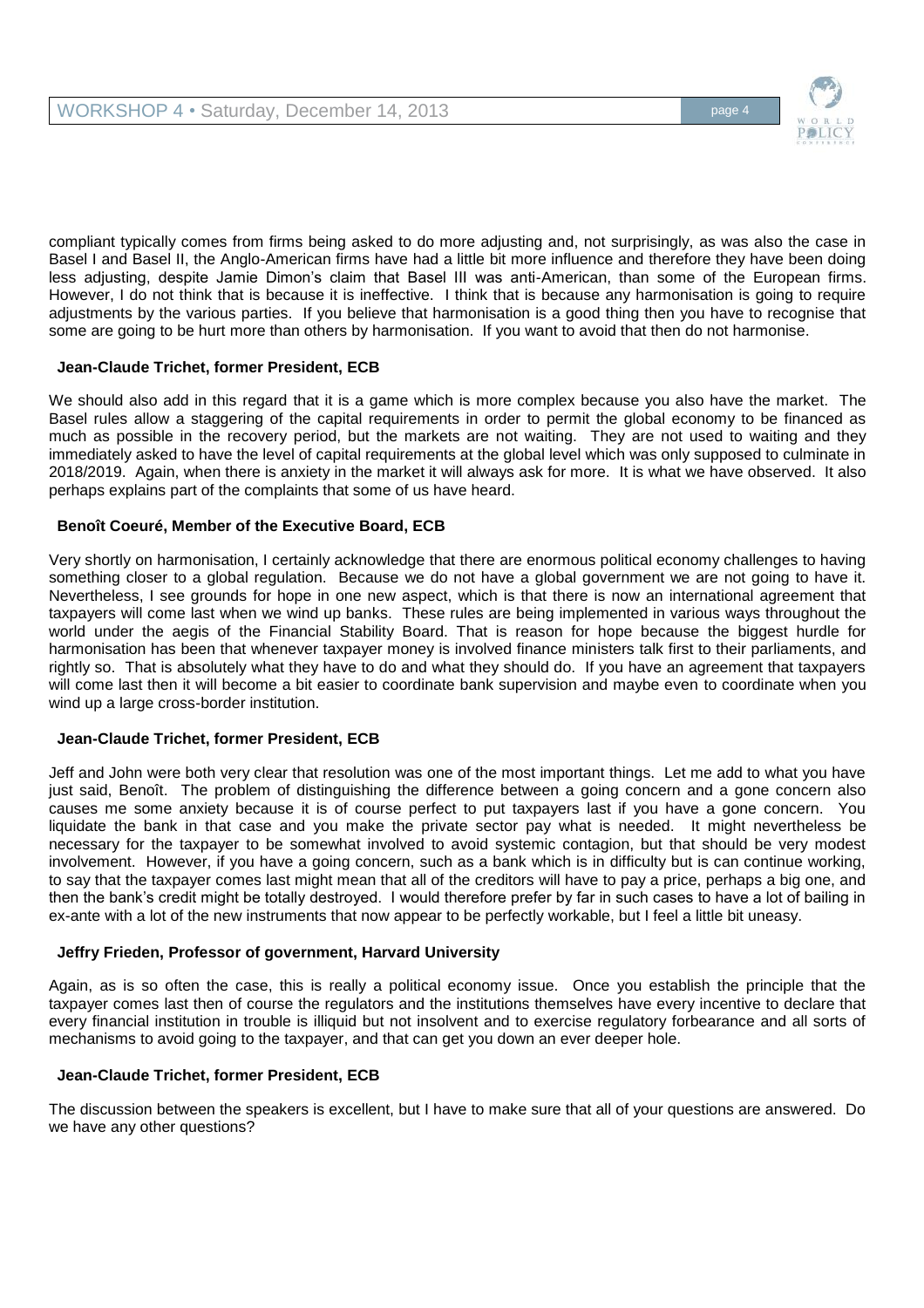

compliant typically comes from firms being asked to do more adjusting and, not surprisingly, as was also the case in Basel I and Basel II, the Anglo-American firms have had a little bit more influence and therefore they have been doing less adjusting, despite Jamie Dimon's claim that Basel III was anti-American, than some of the European firms. However, I do not think that is because it is ineffective. I think that is because any harmonisation is going to require adjustments by the various parties. If you believe that harmonisation is a good thing then you have to recognise that some are going to be hurt more than others by harmonisation. If you want to avoid that then do not harmonise.

# **Jean-Claude Trichet, former President, ECB**

We should also add in this regard that it is a game which is more complex because you also have the market. The Basel rules allow a staggering of the capital requirements in order to permit the global economy to be financed as much as possible in the recovery period, but the markets are not waiting. They are not used to waiting and they immediately asked to have the level of capital requirements at the global level which was only supposed to culminate in 2018/2019. Again, when there is anxiety in the market it will always ask for more. It is what we have observed. It also perhaps explains part of the complaints that some of us have heard.

# **Benoît Coeuré, Member of the Executive Board, ECB**

Very shortly on harmonisation, I certainly acknowledge that there are enormous political economy challenges to having something closer to a global regulation. Because we do not have a global government we are not going to have it. Nevertheless, I see grounds for hope in one new aspect, which is that there is now an international agreement that taxpayers will come last when we wind up banks. These rules are being implemented in various ways throughout the world under the aegis of the Financial Stability Board. That is reason for hope because the biggest hurdle for harmonisation has been that whenever taxpayer money is involved finance ministers talk first to their parliaments, and rightly so. That is absolutely what they have to do and what they should do. If you have an agreement that taxpayers will come last then it will become a bit easier to coordinate bank supervision and maybe even to coordinate when you wind up a large cross-border institution.

# **Jean-Claude Trichet, former President, ECB**

Jeff and John were both very clear that resolution was one of the most important things. Let me add to what you have just said, Benoît. The problem of distinguishing the difference between a going concern and a gone concern also causes me some anxiety because it is of course perfect to put taxpayers last if you have a gone concern. You liquidate the bank in that case and you make the private sector pay what is needed. It might nevertheless be necessary for the taxpayer to be somewhat involved to avoid systemic contagion, but that should be very modest involvement. However, if you have a going concern, such as a bank which is in difficulty but is can continue working, to say that the taxpayer comes last might mean that all of the creditors will have to pay a price, perhaps a big one, and then the bank's credit might be totally destroyed. I would therefore prefer by far in such cases to have a lot of bailing in ex-ante with a lot of the new instruments that now appear to be perfectly workable, but I feel a little bit uneasy.

# **Jeffry Frieden, Professor of government, Harvard University**

Again, as is so often the case, this is really a political economy issue. Once you establish the principle that the taxpayer comes last then of course the regulators and the institutions themselves have every incentive to declare that every financial institution in trouble is illiquid but not insolvent and to exercise regulatory forbearance and all sorts of mechanisms to avoid going to the taxpayer, and that can get you down an ever deeper hole.

# **Jean-Claude Trichet, former President, ECB**

The discussion between the speakers is excellent, but I have to make sure that all of your questions are answered. Do we have any other questions?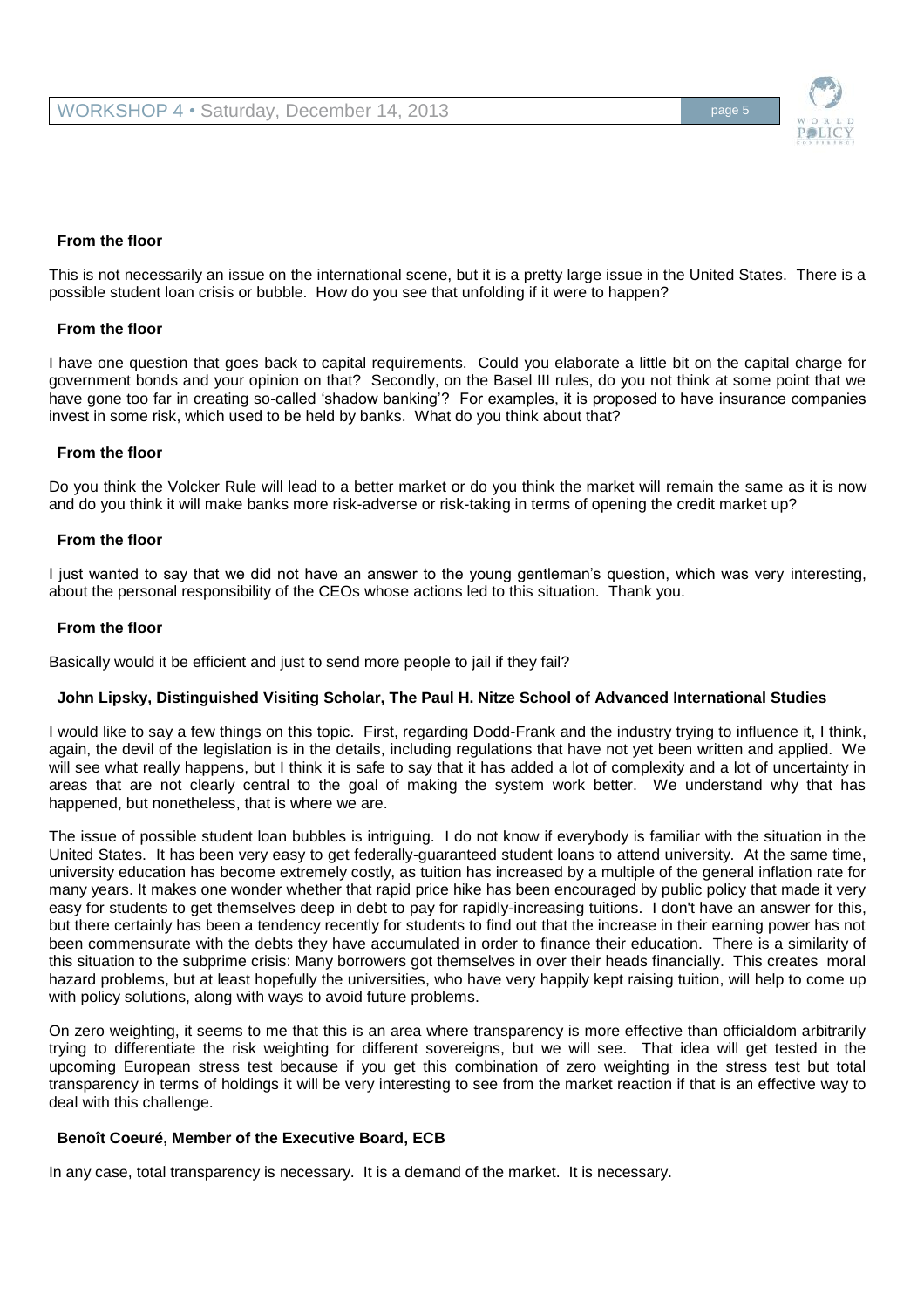

# **From the floor**

This is not necessarily an issue on the international scene, but it is a pretty large issue in the United States. There is a possible student loan crisis or bubble. How do you see that unfolding if it were to happen?

#### **From the floor**

I have one question that goes back to capital requirements. Could you elaborate a little bit on the capital charge for government bonds and your opinion on that? Secondly, on the Basel III rules, do you not think at some point that we have gone too far in creating so-called 'shadow banking'? For examples, it is proposed to have insurance companies invest in some risk, which used to be held by banks. What do you think about that?

#### **From the floor**

Do you think the Volcker Rule will lead to a better market or do you think the market will remain the same as it is now and do you think it will make banks more risk-adverse or risk-taking in terms of opening the credit market up?

#### **From the floor**

I just wanted to say that we did not have an answer to the young gentleman's question, which was very interesting, about the personal responsibility of the CEOs whose actions led to this situation. Thank you.

#### **From the floor**

Basically would it be efficient and just to send more people to jail if they fail?

#### **John Lipsky, Distinguished Visiting Scholar, The Paul H. Nitze School of Advanced International Studies**

I would like to say a few things on this topic. First, regarding Dodd-Frank and the industry trying to influence it, I think, again, the devil of the legislation is in the details, including regulations that have not yet been written and applied. We will see what really happens, but I think it is safe to say that it has added a lot of complexity and a lot of uncertainty in areas that are not clearly central to the goal of making the system work better. We understand why that has happened, but nonetheless, that is where we are.

The issue of possible student loan bubbles is intriguing. I do not know if everybody is familiar with the situation in the United States. It has been very easy to get federally-guaranteed student loans to attend university. At the same time, university education has become extremely costly, as tuition has increased by a multiple of the general inflation rate for many years. It makes one wonder whether that rapid price hike has been encouraged by public policy that made it very easy for students to get themselves deep in debt to pay for rapidly-increasing tuitions. I don't have an answer for this, but there certainly has been a tendency recently for students to find out that the increase in their earning power has not been commensurate with the debts they have accumulated in order to finance their education. There is a similarity of this situation to the subprime crisis: Many borrowers got themselves in over their heads financially. This creates moral hazard problems, but at least hopefully the universities, who have very happily kept raising tuition, will help to come up with policy solutions, along with ways to avoid future problems.

On zero weighting, it seems to me that this is an area where transparency is more effective than officialdom arbitrarily trying to differentiate the risk weighting for different sovereigns, but we will see. That idea will get tested in the upcoming European stress test because if you get this combination of zero weighting in the stress test but total transparency in terms of holdings it will be very interesting to see from the market reaction if that is an effective way to deal with this challenge.

## **Benoît Coeuré, Member of the Executive Board, ECB**

In any case, total transparency is necessary. It is a demand of the market. It is necessary.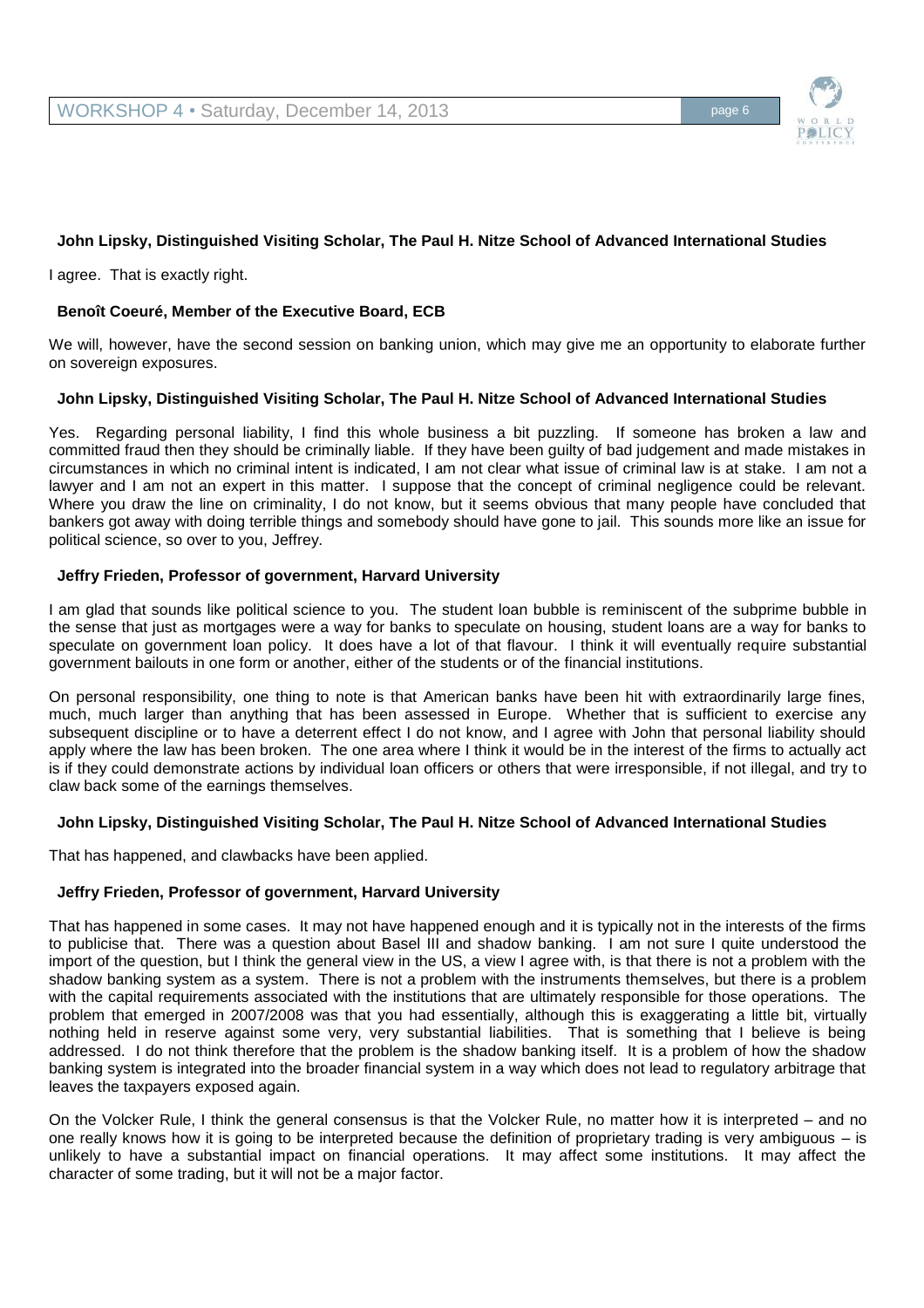

# **John Lipsky, Distinguished Visiting Scholar, The Paul H. Nitze School of Advanced International Studies**

I agree. That is exactly right.

# **Benoît Coeuré, Member of the Executive Board, ECB**

We will, however, have the second session on banking union, which may give me an opportunity to elaborate further on sovereign exposures.

# **John Lipsky, Distinguished Visiting Scholar, The Paul H. Nitze School of Advanced International Studies**

Yes. Regarding personal liability, I find this whole business a bit puzzling. If someone has broken a law and committed fraud then they should be criminally liable. If they have been guilty of bad judgement and made mistakes in circumstances in which no criminal intent is indicated, I am not clear what issue of criminal law is at stake. I am not a lawyer and I am not an expert in this matter. I suppose that the concept of criminal negligence could be relevant. Where you draw the line on criminality, I do not know, but it seems obvious that many people have concluded that bankers got away with doing terrible things and somebody should have gone to jail. This sounds more like an issue for political science, so over to you, Jeffrey.

# **Jeffry Frieden, Professor of government, Harvard University**

I am glad that sounds like political science to you. The student loan bubble is reminiscent of the subprime bubble in the sense that just as mortgages were a way for banks to speculate on housing, student loans are a way for banks to speculate on government loan policy. It does have a lot of that flavour. I think it will eventually require substantial government bailouts in one form or another, either of the students or of the financial institutions.

On personal responsibility, one thing to note is that American banks have been hit with extraordinarily large fines, much, much larger than anything that has been assessed in Europe. Whether that is sufficient to exercise any subsequent discipline or to have a deterrent effect I do not know, and I agree with John that personal liability should apply where the law has been broken. The one area where I think it would be in the interest of the firms to actually act is if they could demonstrate actions by individual loan officers or others that were irresponsible, if not illegal, and try to claw back some of the earnings themselves.

# **John Lipsky, Distinguished Visiting Scholar, The Paul H. Nitze School of Advanced International Studies**

That has happened, and clawbacks have been applied.

# **Jeffry Frieden, Professor of government, Harvard University**

That has happened in some cases. It may not have happened enough and it is typically not in the interests of the firms to publicise that. There was a question about Basel III and shadow banking. I am not sure I quite understood the import of the question, but I think the general view in the US, a view I agree with, is that there is not a problem with the shadow banking system as a system. There is not a problem with the instruments themselves, but there is a problem with the capital requirements associated with the institutions that are ultimately responsible for those operations. The problem that emerged in 2007/2008 was that you had essentially, although this is exaggerating a little bit, virtually nothing held in reserve against some very, very substantial liabilities. That is something that I believe is being addressed. I do not think therefore that the problem is the shadow banking itself. It is a problem of how the shadow banking system is integrated into the broader financial system in a way which does not lead to regulatory arbitrage that leaves the taxpayers exposed again.

On the Volcker Rule, I think the general consensus is that the Volcker Rule, no matter how it is interpreted – and no one really knows how it is going to be interpreted because the definition of proprietary trading is very ambiguous – is unlikely to have a substantial impact on financial operations. It may affect some institutions. It may affect the character of some trading, but it will not be a major factor.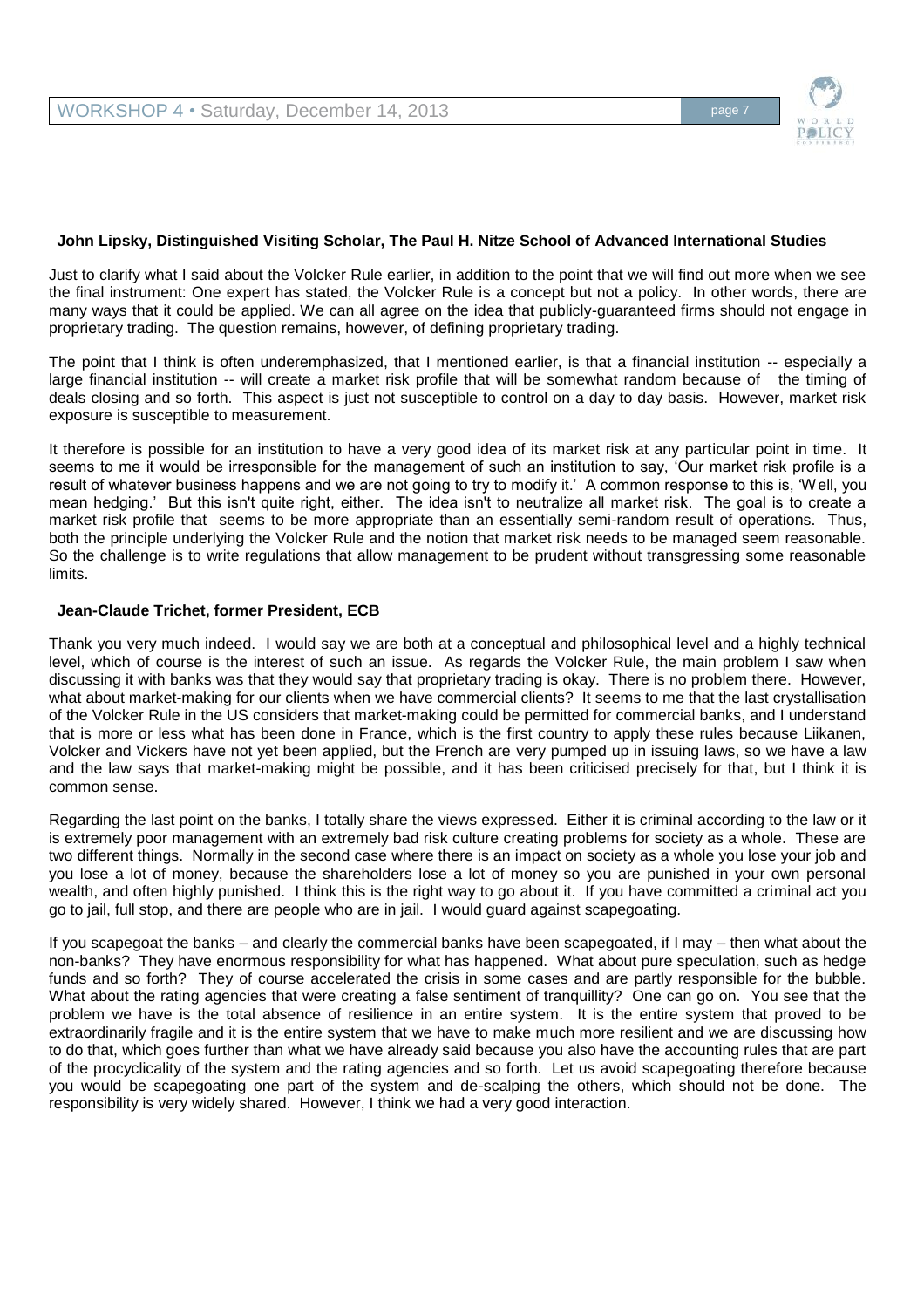

## **John Lipsky, Distinguished Visiting Scholar, The Paul H. Nitze School of Advanced International Studies**

Just to clarify what I said about the Volcker Rule earlier, in addition to the point that we will find out more when we see the final instrument: One expert has stated, the Volcker Rule is a concept but not a policy. In other words, there are many ways that it could be applied. We can all agree on the idea that publicly-guaranteed firms should not engage in proprietary trading. The question remains, however, of defining proprietary trading.

The point that I think is often underemphasized, that I mentioned earlier, is that a financial institution -- especially a large financial institution -- will create a market risk profile that will be somewhat random because of the timing of deals closing and so forth. This aspect is just not susceptible to control on a day to day basis. However, market risk exposure is susceptible to measurement.

It therefore is possible for an institution to have a very good idea of its market risk at any particular point in time. It seems to me it would be irresponsible for the management of such an institution to say, 'Our market risk profile is a result of whatever business happens and we are not going to try to modify it.' A common response to this is, 'Well, you mean hedging.' But this isn't quite right, either. The idea isn't to neutralize all market risk. The goal is to create a market risk profile that seems to be more appropriate than an essentially semi-random result of operations. Thus, both the principle underlying the Volcker Rule and the notion that market risk needs to be managed seem reasonable. So the challenge is to write regulations that allow management to be prudent without transgressing some reasonable limits.

### **Jean-Claude Trichet, former President, ECB**

Thank you very much indeed. I would say we are both at a conceptual and philosophical level and a highly technical level, which of course is the interest of such an issue. As regards the Volcker Rule, the main problem I saw when discussing it with banks was that they would say that proprietary trading is okay. There is no problem there. However, what about market-making for our clients when we have commercial clients? It seems to me that the last crystallisation of the Volcker Rule in the US considers that market-making could be permitted for commercial banks, and I understand that is more or less what has been done in France, which is the first country to apply these rules because Liikanen, Volcker and Vickers have not yet been applied, but the French are very pumped up in issuing laws, so we have a law and the law says that market-making might be possible, and it has been criticised precisely for that, but I think it is common sense.

Regarding the last point on the banks, I totally share the views expressed. Either it is criminal according to the law or it is extremely poor management with an extremely bad risk culture creating problems for society as a whole. These are two different things. Normally in the second case where there is an impact on society as a whole you lose your job and you lose a lot of money, because the shareholders lose a lot of money so you are punished in your own personal wealth, and often highly punished. I think this is the right way to go about it. If you have committed a criminal act you go to jail, full stop, and there are people who are in jail. I would guard against scapegoating.

If you scapegoat the banks – and clearly the commercial banks have been scapegoated, if I may – then what about the non-banks? They have enormous responsibility for what has happened. What about pure speculation, such as hedge funds and so forth? They of course accelerated the crisis in some cases and are partly responsible for the bubble. What about the rating agencies that were creating a false sentiment of tranquillity? One can go on. You see that the problem we have is the total absence of resilience in an entire system. It is the entire system that proved to be extraordinarily fragile and it is the entire system that we have to make much more resilient and we are discussing how to do that, which goes further than what we have already said because you also have the accounting rules that are part of the procyclicality of the system and the rating agencies and so forth. Let us avoid scapegoating therefore because you would be scapegoating one part of the system and de-scalping the others, which should not be done. The responsibility is very widely shared. However, I think we had a very good interaction.